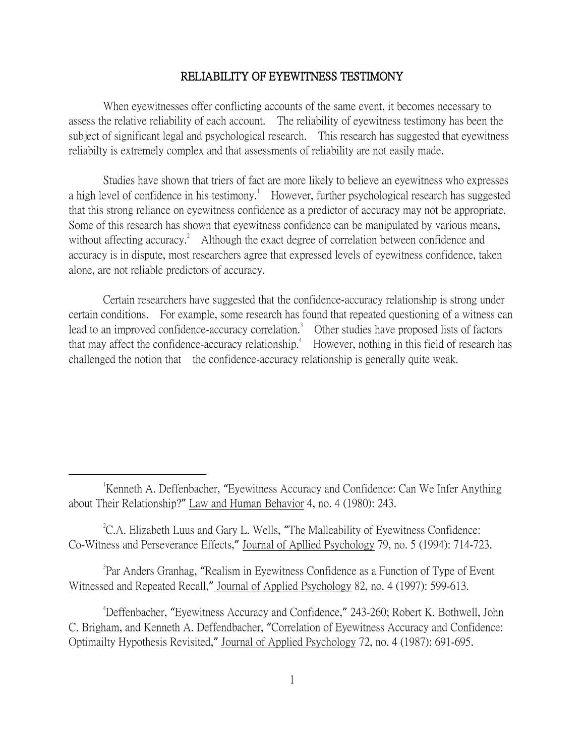## RELIABILITY OF EYEWITNESS TESTIMONY

When eyewitnesses offer conflicting accounts of the same event, it becomes necessary to assess the relative reliability of each account. The reliability of eyewitness testimony has been the subject of significant legal and psychological research. This research has suggested that eyewitness reliabilty is extremely complex and that assessments of reliability are not easily made.

Studies have shown that triers of fact are more likely to believe an eyewitness who expresses a high level of confidence in his testimony.<sup>1</sup> However, further psychological research has suggested that this strong reliance on eyewitness confidence as a predictor of accuracy may not be appropriate. Some of this research has shown that eyewitness confidence can be manipulated by various means, without affecting accuracy.<sup>2</sup> Although the exact degree of correlation between confidence and accuracy is in dispute, most researchers agree that expressed levels of eyewitness confidence, taken alone, are not reliable predictors of accuracy.

Certain researchers have suggested that the confidence-accuracy relationship is strong under certain conditions. For example, some research has found that repeated questioning of a witness can lead to an improved confidence-accuracy correlation.<sup>3</sup> Other studies have proposed lists of factors that may affect the confidence-accuracy relationship.<sup>4</sup> However, nothing in this field of research has challenged the notion that the confidence-accuracy relationship is generally quite weak.

 $\overline{a}$ 

 ${}^{2}$ C.A. Elizabeth Luus and Gary L. Wells, "The Malleability of Eyewitness Confidence: Co-Witness and Perseverance Effects," Journal of Apllied Psychology 79, no. 5 (1994): 714-723.

<sup>3</sup>Par Anders Granhag, "Realism in Eyewitness Confidence as a Function of Type of Event Witnessed and Repeated Recall," Journal of Applied Psychology 82, no. 4 (1997): 599-613.

<sup>4</sup>Deffenbacher, "Eyewitness Accuracy and Confidence," 243-260; Robert K. Bothwell, John C. Brigham, and Kenneth A. Deffendbacher, "Correlation of Eyewitness Accuracy and Confidence: Optimailty Hypothesis Revisited," Journal of Applied Psychology 72, no. 4 (1987): 691-695.

<sup>&</sup>lt;sup>1</sup>Kenneth A. Deffenbacher, "Eyewitness Accuracy and Confidence: Can We Infer Anything about Their Relationship?" Law and Human Behavior 4, no. 4 (1980): 243.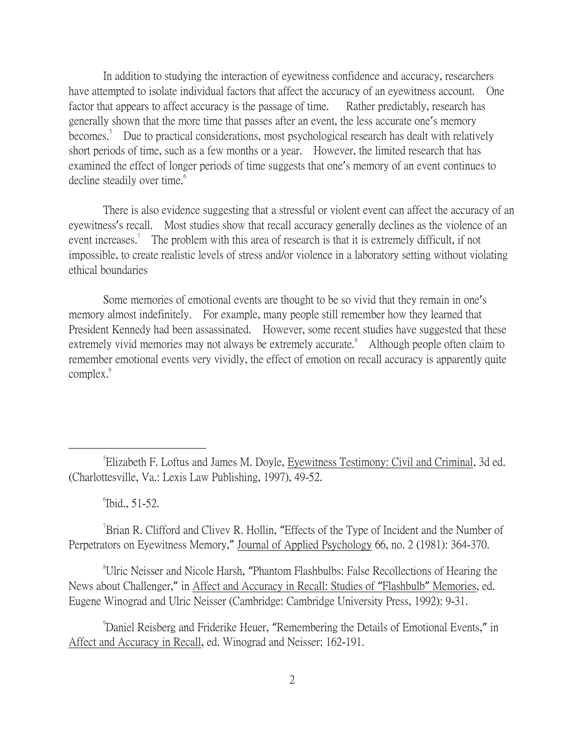In addition to studying the interaction of eyewitness confidence and accuracy, researchers have attempted to isolate individual factors that affect the accuracy of an eyewitness account. One factor that appears to affect accuracy is the passage of time. Rather predictably, research has generally shown that the more time that passes after an event, the less accurate one's memory becomes.<sup>5</sup> Due to practical considerations, most psychological research has dealt with relatively short periods of time, such as a few months or a year. However, the limited research that has examined the effect of longer periods of time suggests that one's memory of an event continues to decline steadily over time.<sup>6</sup>

There is also evidence suggesting that a stressful or violent event can affect the accuracy of an eyewitness's recall. Most studies show that recall accuracy generally declines as the violence of an event increases.<sup>7</sup> The problem with this area of research is that it is extremely difficult, if not impossible, to create realistic levels of stress and/or violence in a laboratory setting without violating ethical boundaries

Some memories of emotional events are thought to be so vivid that they remain in one's memory almost indefinitely. For example, many people still remember how they learned that President Kennedy had been assassinated. However, some recent studies have suggested that these extremely vivid memories may not always be extremely accurate.<sup>8</sup> Although people often claim to remember emotional events very vividly, the effect of emotion on recall accuracy is apparently quite complex.<sup>9</sup>

6 Ibid., 51-52.

 $\overline{a}$ 

 $\sigma$ <sup>7</sup>Brian R. Clifford and Clivev R. Hollin, "Effects of the Type of Incident and the Number of Perpetrators on Eyewitness Memory," Journal of Applied Psychology 66, no. 2 (1981): 364-370.

<sup>8</sup>Ulric Neisser and Nicole Harsh, "Phantom Flashbulbs: False Recollections of Hearing the News about Challenger," in Affect and Accuracy in Recall: Studies of "Flashbulb" Memories, ed. Eugene Winograd and Ulric Neisser (Cambridge: Cambridge University Press, 1992): 9-31.

<sup>9</sup>Daniel Reisberg and Friderike Heuer, "Remembering the Details of Emotional Events," in Affect and Accuracy in Recall, ed. Winograd and Neisser: 162-191.

<sup>5</sup> Elizabeth F. Loftus and James M. Doyle, Eyewitness Testimony: Civil and Criminal, 3d ed. (Charlottesville, Va.: Lexis Law Publishing, 1997), 49-52.